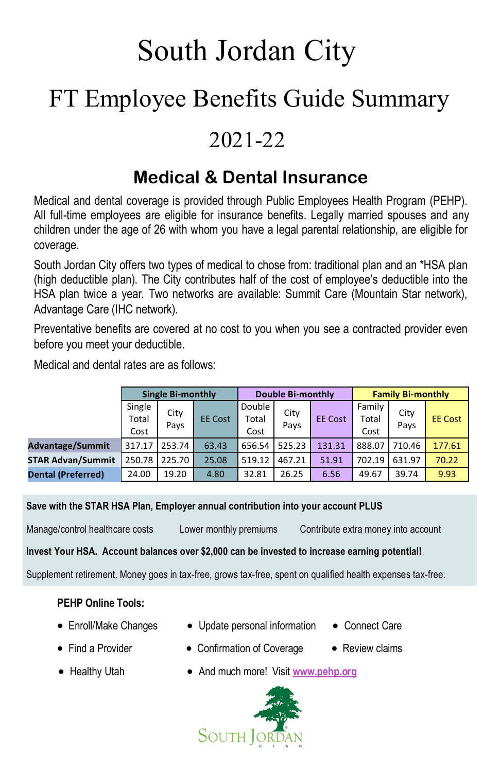# South Jordan City

# FT Employee Benefits Guide Summary

# 2021-22

# **Medical & Dental Insurance**

Medical and dental coverage is provided through Public Employees Health Program (PEHP). All full-time employees are eligible for insurance benefits. Legally married spouses and any children under the age of 26 with whom you have a legal parental relationship, are eligible for coverage.

South Jordan City offers two types of medical to chose from: traditional plan and an \*HSA plan (high deductible plan). The City contributes half of the cost of employee's deductible into the HSA plan twice a year. Two networks are available: Summit Care (Mountain Star network), Advantage Care (IHC network).

Preventative benefits are covered at no cost to you when you see a contracted provider even before you meet your deductible.

Medical and dental rates are as follows:

|                           | <b>Single Bi-monthly</b> |              | <b>Double Bi-monthly</b> |                         |              | <b>Family Bi-monthly</b> |                         |              |                |
|---------------------------|--------------------------|--------------|--------------------------|-------------------------|--------------|--------------------------|-------------------------|--------------|----------------|
|                           | Single<br>Total<br>Cost  | City<br>Pays | <b>EE Cost</b>           | Double<br>Total<br>Cost | City<br>Pays | <b>EE Cost</b>           | Family<br>Total<br>Cost | City<br>Pays | <b>EE Cost</b> |
| <b>Advantage/Summit</b>   | 317.17                   | 253.74       | 63.43                    | 656.54                  | 525.23       | 131.31                   | 888.07                  | 710.46       | 177.61         |
| <b>STAR Advan/Summit</b>  | 250.78                   | 225.70       | 25.08                    | 519.12                  | 467.21       | 51.91                    | 702.19                  | 631.97       | 70.22          |
| <b>Dental (Preferred)</b> | 24.00                    | 19.20        | 4.80                     | 32.81                   | 26.25        | 6.56                     | 49.67                   | 39.74        | 9.93           |

**Save with the STAR HSA Plan, Employer annual contribution into your account PLUS**

Manage/control healthcare costs Lower monthly premiums Contribute extra money into account

**Invest Your HSA. Account balances over \$2,000 can be invested to increase earning potential!**

Supplement retirement. Money goes in tax-free, grows tax-free, spent on qualified health expenses tax-free.

#### **PEHP Online Tools:**

- 
- Enroll/Make Changes Update personal information Connect Care
- 
- Find a Provider Confirmation of Coverage Review claims
- 

- 
- Healthy Utah **•** And much more! Visit [www.pehp.org](https://www.pehp.org/)

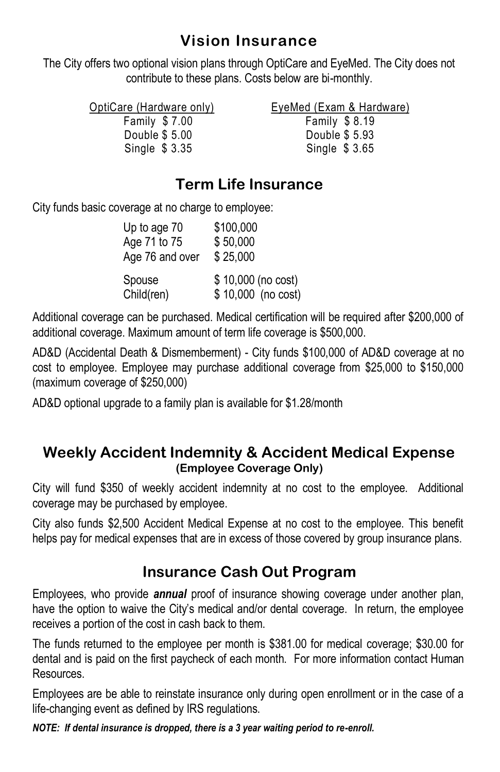#### **Vision Insurance**

The City offers two optional vision plans through OptiCare and EyeMed. The City does not contribute to these plans. Costs below are bi-monthly.

| OptiCare (Hardware only) | EyeMed (Exam & Hardware) |
|--------------------------|--------------------------|
| Family \$7.00            | Family $$8.19$           |
| Double \$ 5.00           | Double \$ 5.93           |
| Single $$3.35$           | Single \$3.65            |

#### **Term Life Insurance**

City funds basic coverage at no charge to employee:

| Up to age 70    | \$100,000          |
|-----------------|--------------------|
| Age 71 to 75    | \$50,000           |
| Age 76 and over | \$25,000           |
| Spouse          | \$10,000 (no cost) |
| Child(ren)      | \$10,000 (no cost) |

Additional coverage can be purchased. Medical certification will be required after \$200,000 of additional coverage. Maximum amount of term life coverage is \$500,000.

AD&D (Accidental Death & Dismemberment) - City funds \$100,000 of AD&D coverage at no cost to employee. Employee may purchase additional coverage from \$25,000 to \$150,000 (maximum coverage of \$250,000)

AD&D optional upgrade to a family plan is available for \$1.28/month

#### **Weekly Accident Indemnity & Accident Medical Expense (Employee Coverage Only)**

City will fund \$350 of weekly accident indemnity at no cost to the employee. Additional coverage may be purchased by employee.

City also funds \$2,500 Accident Medical Expense at no cost to the employee. This benefit helps pay for medical expenses that are in excess of those covered by group insurance plans.

#### **Insurance Cash Out Program**

Employees, who provide *annual* proof of insurance showing coverage under another plan, have the option to waive the City's medical and/or dental coverage. In return, the employee receives a portion of the cost in cash back to them.

The funds returned to the employee per month is \$381.00 for medical coverage; \$30.00 for dental and is paid on the first paycheck of each month. For more information contact Human Resources.

Employees are be able to reinstate insurance only during open enrollment or in the case of a life-changing event as defined by IRS regulations.

*NOTE: If dental insurance is dropped, there is a 3 year waiting period to re-enroll.*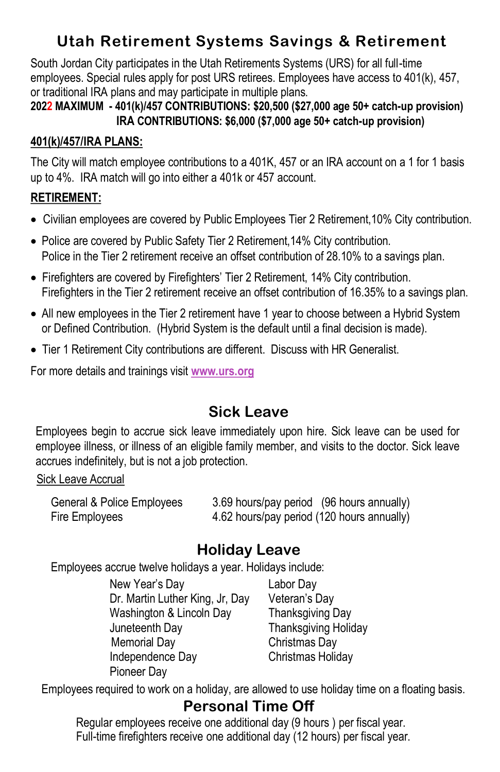### **Utah Retirement Systems Savings & Retirement**

South Jordan City participates in the Utah Retirements Systems (URS) for all full-time employees. Special rules apply for post URS retirees. Employees have access to 401(k), 457, or traditional IRA plans and may participate in multiple plans.

#### **2022 MAXIMUM - 401(k)/457 CONTRIBUTIONS: \$20,500 (\$27,000 age 50+ catch-up provision) IRA CONTRIBUTIONS: \$6,000 (\$7,000 age 50+ catch-up provision)**

#### **401(k)/457/IRA PLANS:**

The City will match employee contributions to a 401K, 457 or an IRA account on a 1 for 1 basis up to 4%. IRA match will go into either a 401k or 457 account.

#### **RETIREMENT:**

- Civilian employees are covered by Public Employees Tier 2 Retirement,10% City contribution.
- Police are covered by Public Safety Tier 2 Retirement, 14% City contribution. Police in the Tier 2 retirement receive an offset contribution of 28.10% to a savings plan.
- Firefighters are covered by Firefighters' Tier 2 Retirement, 14% City contribution. Firefighters in the Tier 2 retirement receive an offset contribution of 16.35% to a savings plan.
- All new employees in the Tier 2 retirement have 1 year to choose between a Hybrid System or Defined Contribution. (Hybrid System is the default until a final decision is made).
- Tier 1 Retirement City contributions are different. Discuss with HR Generalist.

For more details and trainings visit **www.urs.org**

#### **Sick Leave**

Employees begin to accrue sick leave immediately upon hire. Sick leave can be used for employee illness, or illness of an eligible family member, and visits to the doctor. Sick leave accrues indefinitely, but is not a job protection.

#### Sick Leave Accrual

General & Police Employees 3.69 hours/pay period (96 hours annually) Fire Employees 4.62 hours/pay period (120 hours annually)

#### **Holiday Leave**

Employees accrue twelve holidays a year. Holidays include:

New Year's Day Labor Day Dr. Martin Luther King, Jr, Day Veteran's Day Washington & Lincoln Day Thanksgiving Day Juneteenth Day Thanksgiving Holiday Memorial Day **Christmas Day** Independence Day Christmas Holiday Pioneer Day

Employees required to work on a holiday, are allowed to use holiday time on a floating basis.

#### **Personal Time Off**

Regular employees receive one additional day (9 hours ) per fiscal year. Full-time firefighters receive one additional day (12 hours) per fiscal year.